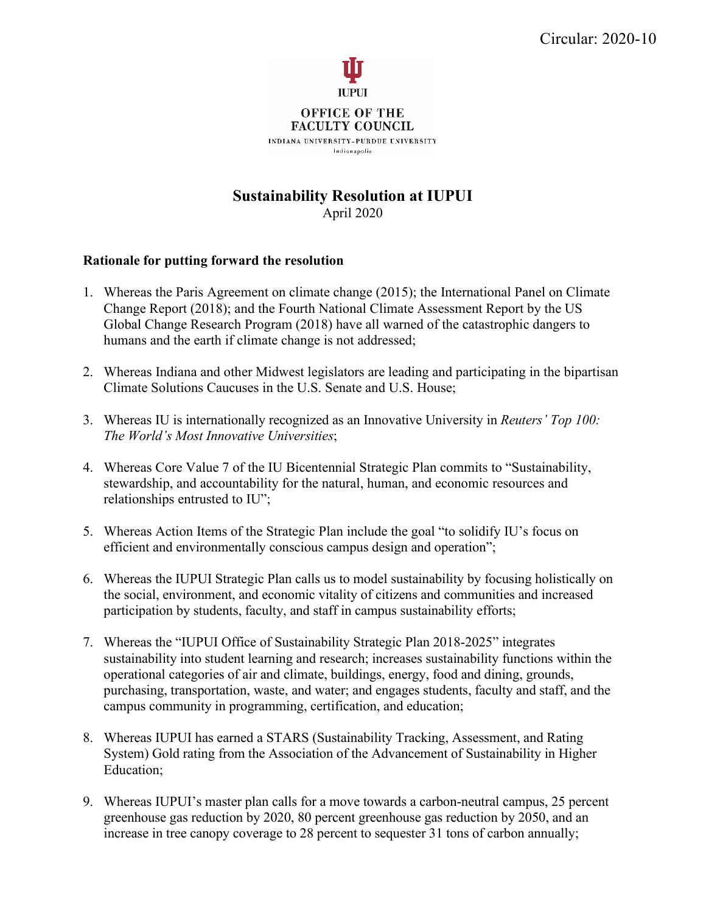

**FACULTY COUNCIL** INDIANA UNIVERSITY-PURDUE UNIVERSITY Indianapolis

## **Sustainability Resolution at IUPUI** April 2020

## **Rationale for putting forward the resolution**

- 1. Whereas the Paris Agreement on climate change (2015); the International Panel on Climate Change Report (2018); and the Fourth National Climate Assessment Report by the US Global Change Research Program (2018) have all warned of the catastrophic dangers to humans and the earth if climate change is not addressed;
- 2. Whereas Indiana and other Midwest legislators are leading and participating in the bipartisan Climate Solutions Caucuses in the U.S. Senate and U.S. House;
- 3. Whereas IU is internationally recognized as an Innovative University in *Reuters' Top 100: The World's Most Innovative Universities*;
- 4. Whereas Core Value 7 of the IU Bicentennial Strategic Plan commits to "Sustainability, stewardship, and accountability for the natural, human, and economic resources and relationships entrusted to IU";
- 5. Whereas Action Items of the Strategic Plan include the goal "to solidify IU's focus on efficient and environmentally conscious campus design and operation";
- 6. Whereas the IUPUI Strategic Plan calls us to model sustainability by focusing holistically on the social, environment, and economic vitality of citizens and communities and increased participation by students, faculty, and staff in campus sustainability efforts;
- 7. Whereas the "IUPUI Office of Sustainability Strategic Plan 2018-2025" integrates sustainability into student learning and research; increases sustainability functions within the operational categories of air and climate, buildings, energy, food and dining, grounds, purchasing, transportation, waste, and water; and engages students, faculty and staff, and the campus community in programming, certification, and education;
- 8. Whereas IUPUI has earned a STARS (Sustainability Tracking, Assessment, and Rating System) Gold rating from the Association of the Advancement of Sustainability in Higher Education;
- 9. Whereas IUPUI's master plan calls for a move towards a carbon-neutral campus, 25 percent greenhouse gas reduction by 2020, 80 percent greenhouse gas reduction by 2050, and an increase in tree canopy coverage to 28 percent to sequester 31 tons of carbon annually;